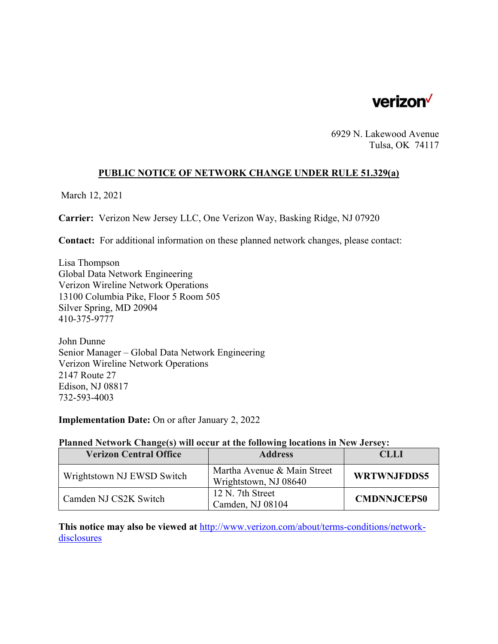

6929 N. Lakewood Avenue Tulsa, OK 74117

# **PUBLIC NOTICE OF NETWORK CHANGE UNDER RULE 51.329(a)**

March 12, 2021

**Carrier:** Verizon New Jersey LLC, One Verizon Way, Basking Ridge, NJ 07920

**Contact:** For additional information on these planned network changes, please contact:

Lisa Thompson Global Data Network Engineering Verizon Wireline Network Operations 13100 Columbia Pike, Floor 5 Room 505 Silver Spring, MD 20904 410-375-9777

John Dunne Senior Manager – Global Data Network Engineering Verizon Wireline Network Operations 2147 Route 27 Edison, NJ 08817 732-593-4003

**Implementation Date:** On or after January 2, 2022

#### **Planned Network Change(s) will occur at the following locations in New Jersey:**

| <b>Verizon Central Office</b> | <b>Address</b>                                       | CLLI               |
|-------------------------------|------------------------------------------------------|--------------------|
| Wrightstown NJ EWSD Switch    | Martha Avenue & Main Street<br>Wrightstown, NJ 08640 | <b>WRTWNJFDDS5</b> |
| Camden NJ CS2K Switch         | 12 N. 7th Street<br>Camden, NJ 08104                 | <b>CMDNNJCEPS0</b> |

**This notice may also be viewed at** http://www.verizon.com/about/terms-conditions/networkdisclosures